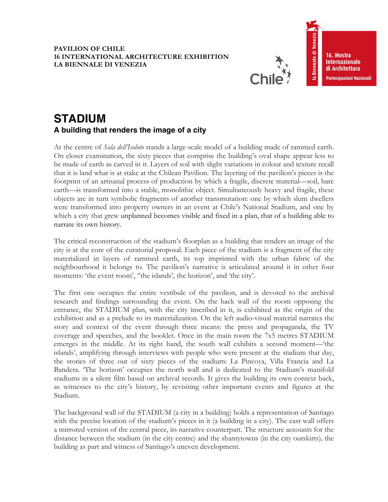## **PAVILION OF CHILE 16 INTERNATIONAL ARCHITECTURE EXHIBITION LA BIENNALE DI VENEZIA**



la Biennale di Venezia 16. Mostra **Internazionale** di Architettura Partecipazioni Nazionali

## **STADIUM A building that renders the image of a city**

At the centre of *Sala dell'Isoloto* stands a large-scale model of a building made of rammed earth. On closer examination, the sixty pieces that comprise the building's oval shape appear less to be made of earth as carved in it. Layers of soil with slight variations in colour and texture recall that it is land what is at stake at the Chilean Pavilion. The layering of the pavilion's pieces is the footprint of an artisanal process of production by which a fragile, discrete material—soil, bare earth—is transformed into a stable, monolithic object. Simultaneously heavy and fragile, these objects are in turn symbolic fragments of another transmutation: one by which slum dwellers were transformed into property owners in an event at Chile's National Stadium, and one by which a city that grew unplanned becomes visible and fixed in a plan, that of a building able to narrate its own history.

The critical reconstruction of the stadium's floorplan as a building that renders an image of the city is at the core of the curatorial proposal. Each piece of the stadium is a fragment of the city materialized in layers of rammed earth, its top imprinted with the urban fabric of the neighbourhood it belongs to. The pavilion's narrative is articulated around it in other four moments: 'the event room', "the islands', the horizon', and 'the city'.

The first one occupies the entire vestibule of the pavilion, and is devoted to the archival research and findings surrounding the event. On the back wall of the room opposing the entrance, the STADIUM plan, with the city inscribed in it, is exhibited as the origin of the exhibition and as a prelude to its materialization. On the left audio-visual material narrates the story and context of the event through three means: the press and propaganda, the TV coverage and speeches, and the booklet. Once in the main room the 7x5 metres STADIUM emerges in the middle. At its right hand, the south wall exhibits a second moment—'the islands', amplifying through interviews with people who were present at the stadium that day, the stories of three out of sixty pieces of the stadium: La Pincoya, Villa Francia and La Bandera. 'The horizon' occupies the north wall and is dedicated to the Stadium's manifold stadiums in a silent film based on archival records. It gives the building its own context back, as witnesses to the city's history, by revisiting other important events and figures at the Stadium.

The background wall of the STADIUM (a city in a building) holds a representation of Santiago with the precise location of the stadium's pieces in it (a building in a city). The east wall offers a mirrored version of the central piece, its narrative counterpart. The structure accounts for the distance between the stadium (in the city centre) and the shantytowns (in the city outskirts)*,* the building as part and witness of Santiago's uneven development.